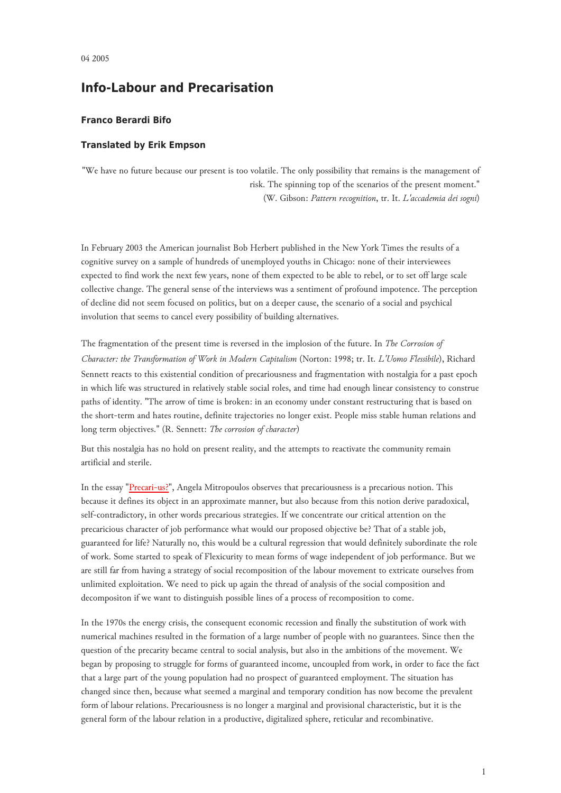## **Info-Labour and Precarisation**

## **Franco Berardi Bifo**

## **Translated by Erik Empson**

"We have no future because our present is too volatile. The only possibility that remains is the management of risk. The spinning top of the scenarios of the present moment." (W. Gibson: *Pattern recognition*, tr. It. *L'accademia dei sogni*)

In February 2003 the American journalist Bob Herbert published in the New York Times the results of a cognitive survey on a sample of hundreds of unemployed youths in Chicago: none of their interviewees expected to find work the next few years, none of them expected to be able to rebel, or to set off large scale collective change. The general sense of the interviews was a sentiment of profound impotence. The perception of decline did not seem focused on politics, but on a deeper cause, the scenario of a social and psychical involution that seems to cancel every possibility of building alternatives.

The fragmentation of the present time is reversed in the implosion of the future. In *The Corrosion of Character: the Transformation of Work in Modern Capitalism* (Norton: 1998; tr. It. *L'Uomo Flessibile*), Richard Sennett reacts to this existential condition of precariousness and fragmentation with nostalgia for a past epoch in which life was structured in relatively stable social roles, and time had enough linear consistency to construe paths of identity. "The arrow of time is broken: in an economy under constant restructuring that is based on the short-term and hates routine, definite trajectories no longer exist. People miss stable human relations and long term objectives." (R. Sennett: *The corrosion of character*)

But this nostalgia has no hold on present reality, and the attempts to reactivate the community remain artificial and sterile.

In the essay "[Precari-us?"](http://eipcp.net/transversal/0704/mitropoulos/en), Angela Mitropoulos observes that precariousness is a precarious notion. This because it defines its object in an approximate manner, but also because from this notion derive paradoxical, self-contradictory, in other words precarious strategies. If we concentrate our critical attention on the precaricious character of job performance what would our proposed objective be? That of a stable job, guaranteed for life? Naturally no, this would be a cultural regression that would definitely subordinate the role of work. Some started to speak of Flexicurity to mean forms of wage independent of job performance. But we are still far from having a strategy of social recomposition of the labour movement to extricate ourselves from unlimited exploitation. We need to pick up again the thread of analysis of the social composition and decompositon if we want to distinguish possible lines of a process of recomposition to come.

In the 1970s the energy crisis, the consequent economic recession and finally the substitution of work with numerical machines resulted in the formation of a large number of people with no guarantees. Since then the question of the precarity became central to social analysis, but also in the ambitions of the movement. We began by proposing to struggle for forms of guaranteed income, uncoupled from work, in order to face the fact that a large part of the young population had no prospect of guaranteed employment. The situation has changed since then, because what seemed a marginal and temporary condition has now become the prevalent form of labour relations. Precariousness is no longer a marginal and provisional characteristic, but it is the general form of the labour relation in a productive, digitalized sphere, reticular and recombinative.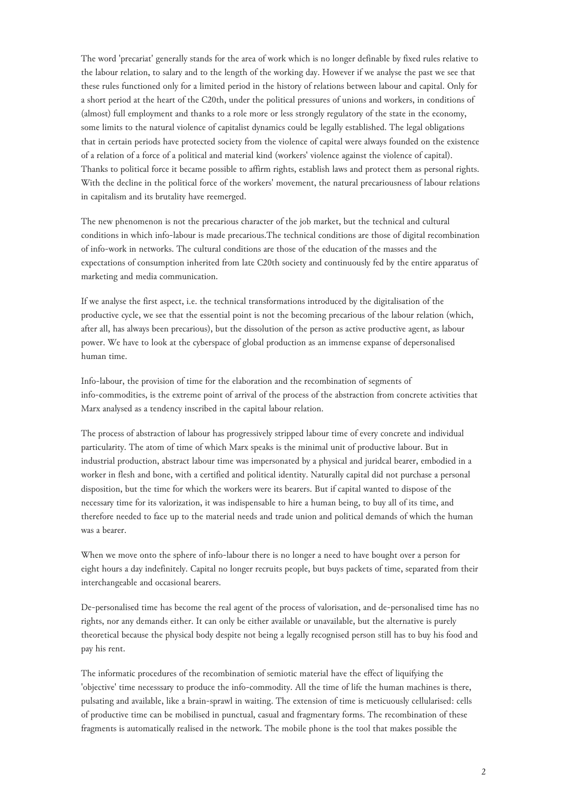The word 'precariat' generally stands for the area of work which is no longer definable by fixed rules relative to the labour relation, to salary and to the length of the working day. However if we analyse the past we see that these rules functioned only for a limited period in the history of relations between labour and capital. Only for a short period at the heart of the C20th, under the political pressures of unions and workers, in conditions of (almost) full employment and thanks to a role more or less strongly regulatory of the state in the economy, some limits to the natural violence of capitalist dynamics could be legally established. The legal obligations that in certain periods have protected society from the violence of capital were always founded on the existence of a relation of a force of a political and material kind (workers' violence against the violence of capital). Thanks to political force it became possible to affirm rights, establish laws and protect them as personal rights. With the decline in the political force of the workers' movement, the natural precariousness of labour relations in capitalism and its brutality have reemerged.

The new phenomenon is not the precarious character of the job market, but the technical and cultural conditions in which info-labour is made precarious.The technical conditions are those of digital recombination of info-work in networks. The cultural conditions are those of the education of the masses and the expectations of consumption inherited from late C20th society and continuously fed by the entire apparatus of marketing and media communication.

If we analyse the first aspect, i.e. the technical transformations introduced by the digitalisation of the productive cycle, we see that the essential point is not the becoming precarious of the labour relation (which, after all, has always been precarious), but the dissolution of the person as active productive agent, as labour power. We have to look at the cyberspace of global production as an immense expanse of depersonalised human time.

Info-labour, the provision of time for the elaboration and the recombination of segments of info-commodities, is the extreme point of arrival of the process of the abstraction from concrete activities that Marx analysed as a tendency inscribed in the capital labour relation.

The process of abstraction of labour has progressively stripped labour time of every concrete and individual particularity. The atom of time of which Marx speaks is the minimal unit of productive labour. But in industrial production, abstract labour time was impersonated by a physical and juridcal bearer, embodied in a worker in flesh and bone, with a certified and political identity. Naturally capital did not purchase a personal disposition, but the time for which the workers were its bearers. But if capital wanted to dispose of the necessary time for its valorization, it was indispensable to hire a human being, to buy all of its time, and therefore needed to face up to the material needs and trade union and political demands of which the human was a bearer.

When we move onto the sphere of info-labour there is no longer a need to have bought over a person for eight hours a day indefinitely. Capital no longer recruits people, but buys packets of time, separated from their interchangeable and occasional bearers.

De-personalised time has become the real agent of the process of valorisation, and de-personalised time has no rights, nor any demands either. It can only be either available or unavailable, but the alternative is purely theoretical because the physical body despite not being a legally recognised person still has to buy his food and pay his rent.

The informatic procedures of the recombination of semiotic material have the effect of liquifying the 'objective' time necesssary to produce the info-commodity. All the time of life the human machines is there, pulsating and available, like a brain-sprawl in waiting. The extension of time is meticuously cellularised: cells of productive time can be mobilised in punctual, casual and fragmentary forms. The recombination of these fragments is automatically realised in the network. The mobile phone is the tool that makes possible the